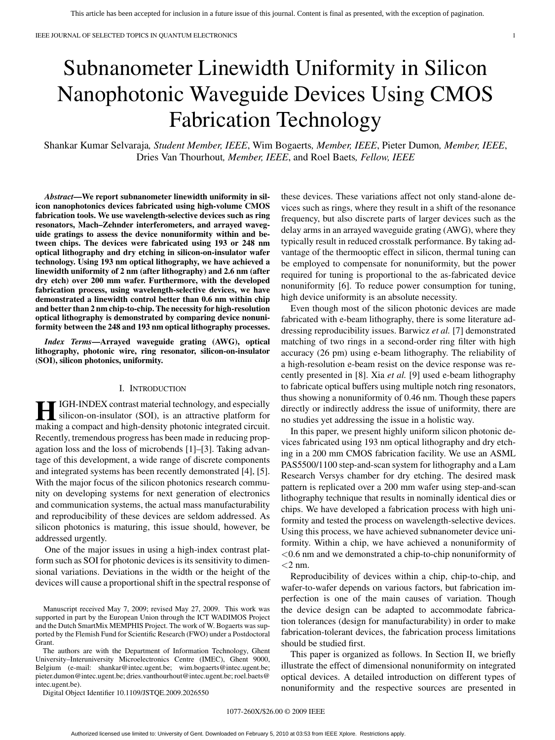IEEE JOURNAL OF SELECTED TOPICS IN QUANTUM ELECTRONICS 1

# Subnanometer Linewidth Uniformity in Silicon Nanophotonic Waveguide Devices Using CMOS Fabrication Technology

Shankar Kumar Selvaraja*, Student Member, IEEE*, Wim Bogaerts*, Member, IEEE*, Pieter Dumon*, Member, IEEE*, Dries Van Thourhout*, Member, IEEE*, and Roel Baets*, Fellow, IEEE*

*Abstract***—We report subnanometer linewidth uniformity in silicon nanophotonics devices fabricated using high-volume CMOS fabrication tools. We use wavelength-selective devices such as ring resonators, Mach–Zehnder interferometers, and arrayed waveguide gratings to assess the device nonuniformity within and between chips. The devices were fabricated using 193 or 248 nm optical lithography and dry etching in silicon-on-insulator wafer technology. Using 193 nm optical lithography, we have achieved a linewidth uniformity of 2 nm (after lithography) and 2.6 nm (after dry etch) over 200 mm wafer. Furthermore, with the developed fabrication process, using wavelength-selective devices, we have demonstrated a linewidth control better than 0.6 nm within chip and better than 2 nm chip-to-chip. The necessity for high-resolution optical lithography is demonstrated by comparing device nonuniformity between the 248 and 193 nm optical lithography processes.**

*Index Terms***—Arrayed waveguide grating (AWG), optical lithography, photonic wire, ring resonator, silicon-on-insulator (SOI), silicon photonics, uniformity.**

#### I. INTRODUCTION

**HERIGH-INDEX contrast material technology, and especially silicon-on-insulator (SOI), is an attractive platform for meeting a compact and bigh density photonic integrated circuit.** making a compact and high-density photonic integrated circuit. Recently, tremendous progress has been made in reducing propagation loss and the loss of microbends [1]–[3]. Taking advantage of this development, a wide range of discrete components and integrated systems has been recently demonstrated [4], [5]. With the major focus of the silicon photonics research community on developing systems for next generation of electronics and communication systems, the actual mass manufacturability and reproducibility of these devices are seldom addressed. As silicon photonics is maturing, this issue should, however, be addressed urgently.

One of the major issues in using a high-index contrast platform such as SOI for photonic devices is its sensitivity to dimensional variations. Deviations in the width or the height of the devices will cause a proportional shift in the spectral response of

Digital Object Identifier 10.1109/JSTQE.2009.2026550

these devices. These variations affect not only stand-alone devices such as rings, where they result in a shift of the resonance frequency, but also discrete parts of larger devices such as the delay arms in an arrayed waveguide grating (AWG), where they typically result in reduced crosstalk performance. By taking advantage of the thermooptic effect in silicon, thermal tuning can be employed to compensate for nonuniformity, but the power required for tuning is proportional to the as-fabricated device nonuniformity [6]. To reduce power consumption for tuning, high device uniformity is an absolute necessity.

Even though most of the silicon photonic devices are made fabricated with e-beam lithography, there is some literature addressing reproducibility issues. Barwicz *et al.* [7] demonstrated matching of two rings in a second-order ring filter with high accuracy (26 pm) using e-beam lithography. The reliability of a high-resolution e-beam resist on the device response was recently presented in [8]. Xia *et al.* [9] used e-beam lithography to fabricate optical buffers using multiple notch ring resonators, thus showing a nonuniformity of 0.46 nm. Though these papers directly or indirectly address the issue of uniformity, there are no studies yet addressing the issue in a holistic way.

In this paper, we present highly uniform silicon photonic devices fabricated using 193 nm optical lithography and dry etching in a 200 mm CMOS fabrication facility. We use an ASML PAS5500/1100 step-and-scan system for lithography and a Lam Research Versys chamber for dry etching. The desired mask pattern is replicated over a 200 mm wafer using step-and-scan lithography technique that results in nominally identical dies or chips. We have developed a fabrication process with high uniformity and tested the process on wavelength-selective devices. Using this process, we have achieved subnanometer device uniformity. Within a chip, we have achieved a nonuniformity of <0.6 nm and we demonstrated a chip-to-chip nonuniformity of  $<$ 2 nm.

Reproducibility of devices within a chip, chip-to-chip, and wafer-to-wafer depends on various factors, but fabrication imperfection is one of the main causes of variation. Though the device design can be adapted to accommodate fabrication tolerances (design for manufacturability) in order to make fabrication-tolerant devices, the fabrication process limitations should be studied first.

This paper is organized as follows. In Section II, we briefly illustrate the effect of dimensional nonuniformity on integrated optical devices. A detailed introduction on different types of nonuniformity and the respective sources are presented in

Manuscript received May 7, 2009; revised May 27, 2009. This work was supported in part by the European Union through the ICT WADIMOS Project and the Dutch SmartMix MEMPHIS Project. The work of W. Bogaerts was supported by the Flemish Fund for Scientific Research (FWO) under a Postdoctoral Grant.

The authors are with the Department of Information Technology, Ghent University–Interuniversity Microelectronics Centre (IMEC), Ghent 9000, Belgium (e-mail: shankar@intec.ugent.be; wim.bogaerts@intec.ugent.be; pieter.dumon@intec.ugent.be; dries.vanthourhout@intec.ugent.be; roel.baets@ intec.ugent.be).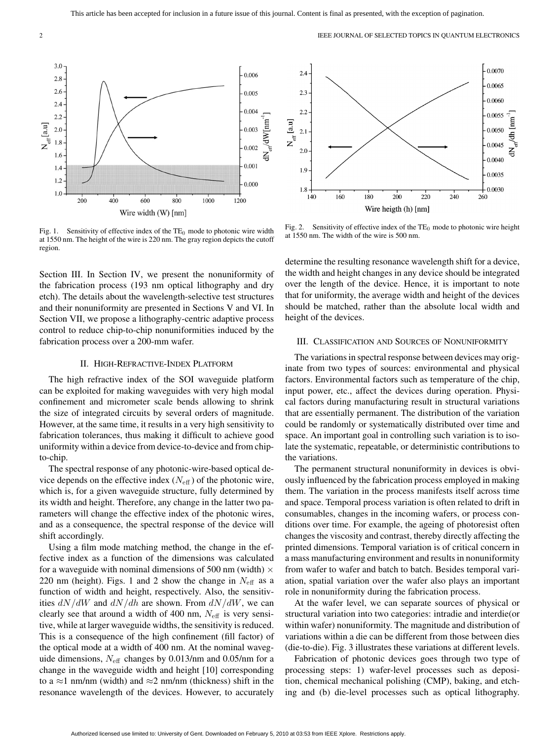2 **IEEE JOURNAL OF SELECTED TOPICS IN QUANTUM ELECTRONICS** 



Fig. 1. Sensitivity of effective index of the  $TE_0$  mode to photonic wire width at 1550 nm. The height of the wire is 220 nm. The gray region depicts the cutoff region.

Section III. In Section IV, we present the nonuniformity of the fabrication process (193 nm optical lithography and dry etch). The details about the wavelength-selective test structures and their nonuniformity are presented in Sections V and VI. In Section VII, we propose a lithography-centric adaptive process control to reduce chip-to-chip nonuniformities induced by the fabrication process over a 200-mm wafer.

## II. HIGH-REFRACTIVE-INDEX PLATFORM

The high refractive index of the SOI waveguide platform can be exploited for making waveguides with very high modal confinement and micrometer scale bends allowing to shrink the size of integrated circuits by several orders of magnitude. However, at the same time, it results in a very high sensitivity to fabrication tolerances, thus making it difficult to achieve good uniformity within a device from device-to-device and from chipto-chip.

The spectral response of any photonic-wire-based optical device depends on the effective index  $(N<sub>eff</sub>)$  of the photonic wire, which is, for a given waveguide structure, fully determined by its width and height. Therefore, any change in the latter two parameters will change the effective index of the photonic wires, and as a consequence, the spectral response of the device will shift accordingly.

Using a film mode matching method, the change in the effective index as a function of the dimensions was calculated for a waveguide with nominal dimensions of 500 nm (width)  $\times$ 220 nm (height). Figs. 1 and 2 show the change in  $N_{\text{eff}}$  as a function of width and height, respectively. Also, the sensitivities  $dN/dW$  and  $dN/dh$  are shown. From  $dN/dW$ , we can clearly see that around a width of 400 nm,  $N_{\text{eff}}$  is very sensitive, while at larger waveguide widths, the sensitivity is reduced. This is a consequence of the high confinement (fill factor) of the optical mode at a width of 400 nm. At the nominal waveguide dimensions,  $N_{\text{eff}}$  changes by 0.013/nm and 0.05/nm for a change in the waveguide width and height [10] corresponding to a  $\approx$ 1 nm/nm (width) and  $\approx$ 2 nm/nm (thickness) shift in the resonance wavelength of the devices. However, to accurately



Fig. 2. Sensitivity of effective index of the  $TE_0$  mode to photonic wire height at 1550 nm. The width of the wire is 500 nm.

determine the resulting resonance wavelength shift for a device, the width and height changes in any device should be integrated over the length of the device. Hence, it is important to note that for uniformity, the average width and height of the devices should be matched, rather than the absolute local width and height of the devices.

### III. CLASSIFICATION AND SOURCES OF NONUNIFORMITY

The variations in spectral response between devices may originate from two types of sources: environmental and physical factors. Environmental factors such as temperature of the chip, input power, etc., affect the devices during operation. Physical factors during manufacturing result in structural variations that are essentially permanent. The distribution of the variation could be randomly or systematically distributed over time and space. An important goal in controlling such variation is to isolate the systematic, repeatable, or deterministic contributions to the variations.

The permanent structural nonuniformity in devices is obviously influenced by the fabrication process employed in making them. The variation in the process manifests itself across time and space. Temporal process variation is often related to drift in consumables, changes in the incoming wafers, or process conditions over time. For example, the ageing of photoresist often changes the viscosity and contrast, thereby directly affecting the printed dimensions. Temporal variation is of critical concern in a mass manufacturing environment and results in nonuniformity from wafer to wafer and batch to batch. Besides temporal variation, spatial variation over the wafer also plays an important role in nonuniformity during the fabrication process.

At the wafer level, we can separate sources of physical or structural variation into two categories: intradie and interdie(or within wafer) nonuniformity. The magnitude and distribution of variations within a die can be different from those between dies (die-to-die). Fig. 3 illustrates these variations at different levels.

Fabrication of photonic devices goes through two type of processing steps: 1) wafer-level processes such as deposition, chemical mechanical polishing (CMP), baking, and etching and (b) die-level processes such as optical lithography.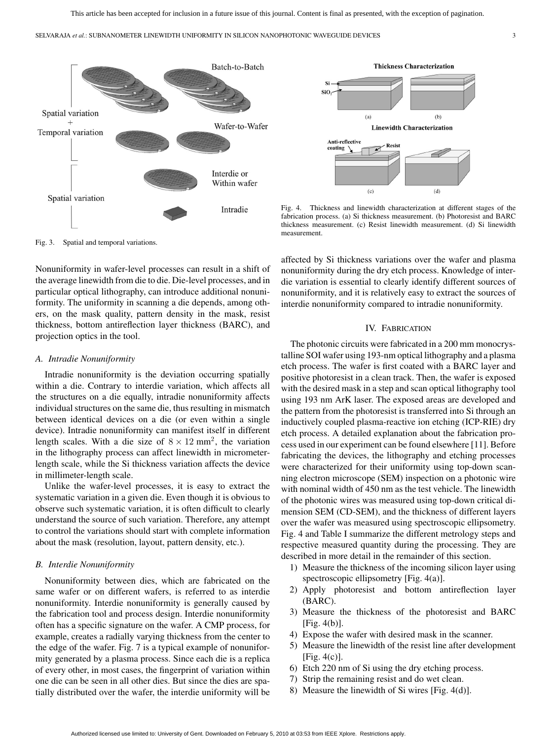



Fig. 4. Thickness and linewidth characterization at different stages of the fabrication process. (a) Si thickness measurement. (b) Photoresist and BARC thickness measurement. (c) Resist linewidth measurement. (d) Si linewidth measurement.

Fig. 3. Spatial and temporal variations.

Nonuniformity in wafer-level processes can result in a shift of the average linewidth from die to die. Die-level processes, and in particular optical lithography, can introduce additional nonuniformity. The uniformity in scanning a die depends, among others, on the mask quality, pattern density in the mask, resist thickness, bottom antireflection layer thickness (BARC), and projection optics in the tool.

#### *A. Intradie Nonuniformity*

Intradie nonuniformity is the deviation occurring spatially within a die. Contrary to interdie variation, which affects all the structures on a die equally, intradie nonuniformity affects individual structures on the same die, thus resulting in mismatch between identical devices on a die (or even within a single device). Intradie nonuniformity can manifest itself in different length scales. With a die size of  $8 \times 12$  mm<sup>2</sup>, the variation in the lithography process can affect linewidth in micrometerlength scale, while the Si thickness variation affects the device in millimeter-length scale.

Unlike the wafer-level processes, it is easy to extract the systematic variation in a given die. Even though it is obvious to observe such systematic variation, it is often difficult to clearly understand the source of such variation. Therefore, any attempt to control the variations should start with complete information about the mask (resolution, layout, pattern density, etc.).

# *B. Interdie Nonuniformity*

Nonuniformity between dies, which are fabricated on the same wafer or on different wafers, is referred to as interdie nonuniformity. Interdie nonuniformity is generally caused by the fabrication tool and process design. Interdie nonuniformity often has a specific signature on the wafer. A CMP process, for example, creates a radially varying thickness from the center to the edge of the wafer. Fig. 7 is a typical example of nonuniformity generated by a plasma process. Since each die is a replica of every other, in most cases, the fingerprint of variation within one die can be seen in all other dies. But since the dies are spatially distributed over the wafer, the interdie uniformity will be affected by Si thickness variations over the wafer and plasma nonuniformity during the dry etch process. Knowledge of interdie variation is essential to clearly identify different sources of nonuniformity, and it is relatively easy to extract the sources of interdie nonuniformity compared to intradie nonuniformity.

## IV. FABRICATION

The photonic circuits were fabricated in a 200 mm monocrystalline SOI wafer using 193-nm optical lithography and a plasma etch process. The wafer is first coated with a BARC layer and positive photoresist in a clean track. Then, the wafer is exposed with the desired mask in a step and scan optical lithography tool using 193 nm ArK laser. The exposed areas are developed and the pattern from the photoresist is transferred into Si through an inductively coupled plasma-reactive ion etching (ICP-RIE) dry etch process. A detailed explanation about the fabrication process used in our experiment can be found elsewhere [11]. Before fabricating the devices, the lithography and etching processes were characterized for their uniformity using top-down scanning electron microscope (SEM) inspection on a photonic wire with nominal width of 450 nm as the test vehicle. The linewidth of the photonic wires was measured using top-down critical dimension SEM (CD-SEM), and the thickness of different layers over the wafer was measured using spectroscopic ellipsometry. Fig. 4 and Table I summarize the different metrology steps and respective measured quantity during the processing. They are described in more detail in the remainder of this section.

- 1) Measure the thickness of the incoming silicon layer using spectroscopic ellipsometry [Fig. 4(a)].
- 2) Apply photoresist and bottom antireflection layer (BARC).
- 3) Measure the thickness of the photoresist and BARC [Fig. 4(b)].
- 4) Expose the wafer with desired mask in the scanner.
- 5) Measure the linewidth of the resist line after development [Fig. 4(c)].
- 6) Etch 220 nm of Si using the dry etching process.
- 7) Strip the remaining resist and do wet clean.
- 8) Measure the linewidth of Si wires [Fig. 4(d)].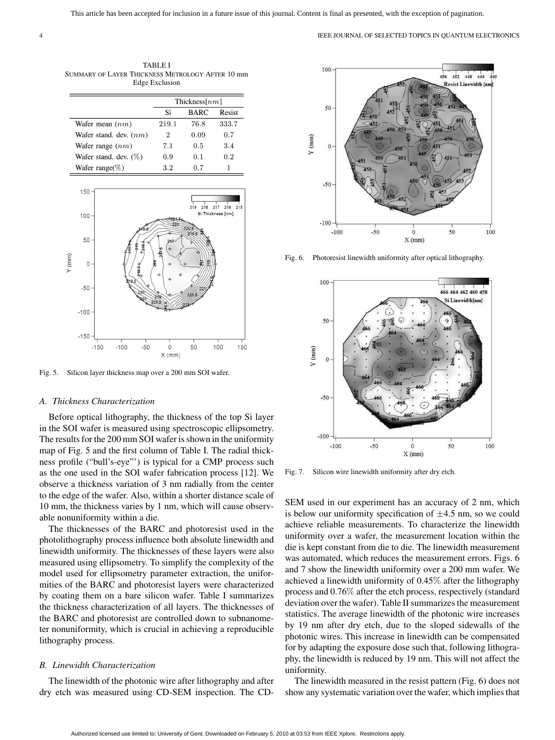TABLE I SUMMARY OF LAYER THICKNESS METROLOGY AFTER 10 mm Edge Exclusion

|                          | Thickness $\lceil nm \rceil$ |             |        |
|--------------------------|------------------------------|-------------|--------|
|                          | Si                           | <b>BARC</b> | Resist |
| Wafer mean $(nm)$        | 219.1                        | 76.8        | 333.7  |
| Wafer stand. dev. $(nm)$ | 2                            | 0.09        | 0.7    |
| Wafer range $(nm)$       | 7.1                          | 0.5         | 3.4    |
| Wafer stand. dev. $(\%)$ | 0.9                          | 0.1         | 0.2    |
| Wafer range( $\%$ )      | 3.2                          |             |        |



Fig. 5. Silicon layer thickness map over a 200 mm SOI wafer.

# *A. Thickness Characterization*

Before optical lithography, the thickness of the top Si layer in the SOI wafer is measured using spectroscopic ellipsometry. The results for the 200 mm SOI wafer is shown in the uniformity map of Fig. 5 and the first column of Table I. The radial thickness profile ("bull's-eye"') is typical for a CMP process such as the one used in the SOI wafer fabrication process [12]. We observe a thickness variation of 3 nm radially from the center to the edge of the wafer. Also, within a shorter distance scale of 10 mm, the thickness varies by 1 nm, which will cause observable nonuniformity within a die.

The thicknesses of the BARC and photoresist used in the photolithography process influence both absolute linewidth and linewidth uniformity. The thicknesses of these layers were also measured using ellipsometry. To simplify the complexity of the model used for ellipsometry parameter extraction, the uniformities of the BARC and photoresist layers were characterized by coating them on a bare silicon wafer. Table I summarizes the thickness characterization of all layers. The thicknesses of the BARC and photoresist are controlled down to subnanometer nonuniformity, which is crucial in achieving a reproducible lithography process.

## *B. Linewidth Characterization*

The linewidth of the photonic wire after lithography and after dry etch was measured using CD-SEM inspection. The CD-



Fig. 6. Photoresist linewidth uniformity after optical lithography.



Fig. 7. Silicon wire linewidth uniformity after dry etch.

SEM used in our experiment has an accuracy of 2 nm, which is below our uniformity specification of  $\pm 4.5$  nm, so we could achieve reliable measurements. To characterize the linewidth uniformity over a wafer, the measurement location within the die is kept constant from die to die. The linewidth measurement was automated, which reduces the measurement errors. Figs. 6 and 7 show the linewidth uniformity over a 200 mm wafer. We achieved a linewidth uniformity of 0.45% after the lithography process and 0.76% after the etch process, respectively (standard deviation over the wafer). Table II summarizes the measurement statistics. The average linewidth of the photonic wire increases by 19 nm after dry etch, due to the sloped sidewalls of the photonic wires. This increase in linewidth can be compensated for by adapting the exposure dose such that, following lithography, the linewidth is reduced by 19 nm. This will not affect the uniformity.

The linewidth measured in the resist pattern (Fig. 6) does not show any systematic variation over the wafer, which implies that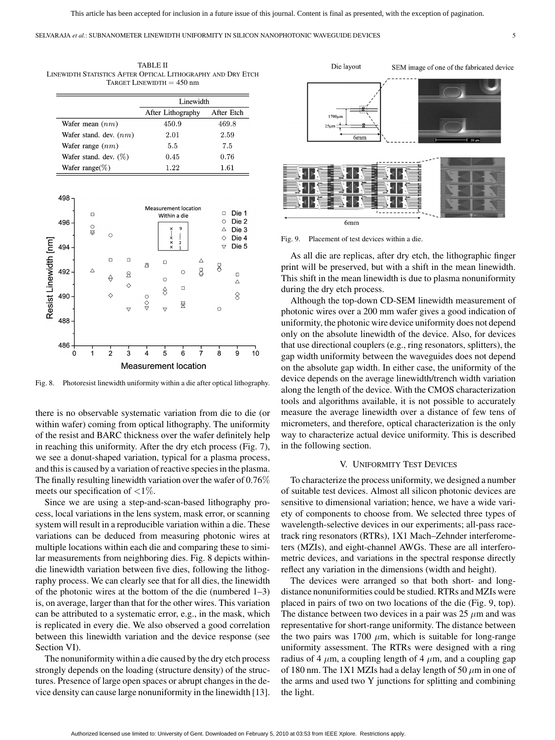|                          | Linewidth         |            |  |
|--------------------------|-------------------|------------|--|
|                          | After Lithography | After Etch |  |
| Wafer mean $(nm)$        | 450.9             | 469.8      |  |
| Wafer stand. dev. $(nm)$ | 2.01              | 2.59       |  |
| Wafer range $(nm)$       | 5.5               | 7.5        |  |
| Wafer stand. dev. $(\%)$ | 0.45              | 0.76       |  |
| Wafer range( $\%$ )      | 1.22              | 1.61       |  |

TABLE II LINEWIDTH STATISTICS AFTER OPTICAL LITHOGRAPHY AND DRY ETCH TARGET LINEWIDTH  $= 450$  nm



Fig. 8. Photoresist linewidth uniformity within a die after optical lithography.

there is no observable systematic variation from die to die (or within wafer) coming from optical lithography. The uniformity of the resist and BARC thickness over the wafer definitely help in reaching this uniformity. After the dry etch process (Fig. 7), we see a donut-shaped variation, typical for a plasma process, and this is caused by a variation of reactive species in the plasma. The finally resulting linewidth variation over the wafer of 0.76% meets our specification of  $\langle 1\% \rangle$ .

Since we are using a step-and-scan-based lithography process, local variations in the lens system, mask error, or scanning system will result in a reproducible variation within a die. These variations can be deduced from measuring photonic wires at multiple locations within each die and comparing these to similar measurements from neighboring dies. Fig. 8 depicts withindie linewidth variation between five dies, following the lithography process. We can clearly see that for all dies, the linewidth of the photonic wires at the bottom of the die (numbered 1–3) is, on average, larger than that for the other wires. This variation can be attributed to a systematic error, e.g., in the mask, which is replicated in every die. We also observed a good correlation between this linewidth variation and the device response (see Section VI).

The nonuniformity within a die caused by the dry etch process strongly depends on the loading (structure density) of the structures. Presence of large open spaces or abrupt changes in the device density can cause large nonuniformity in the linewidth [13].



Fig. 9. Placement of test devices within a die.

As all die are replicas, after dry etch, the lithographic finger print will be preserved, but with a shift in the mean linewidth. This shift in the mean linewidth is due to plasma nonuniformity during the dry etch process.

Although the top-down CD-SEM linewidth measurement of photonic wires over a 200 mm wafer gives a good indication of uniformity, the photonic wire device uniformity does not depend only on the absolute linewidth of the device. Also, for devices that use directional couplers (e.g., ring resonators, splitters), the gap width uniformity between the waveguides does not depend on the absolute gap width. In either case, the uniformity of the device depends on the average linewidth/trench width variation along the length of the device. With the CMOS characterization tools and algorithms available, it is not possible to accurately measure the average linewidth over a distance of few tens of micrometers, and therefore, optical characterization is the only way to characterize actual device uniformity. This is described in the following section.

## V. UNIFORMITY TEST DEVICES

To characterize the process uniformity, we designed a number of suitable test devices. Almost all silicon photonic devices are sensitive to dimensional variation; hence, we have a wide variety of components to choose from. We selected three types of wavelength-selective devices in our experiments; all-pass racetrack ring resonators (RTRs), 1X1 Mach–Zehnder interferometers (MZIs), and eight-channel AWGs. These are all interferometric devices, and variations in the spectral response directly reflect any variation in the dimensions (width and height).

The devices were arranged so that both short- and longdistance nonuniformities could be studied. RTRs and MZIs were placed in pairs of two on two locations of the die (Fig. 9, top). The distance between two devices in a pair was 25  $\mu$ m and was representative for short-range uniformity. The distance between the two pairs was 1700  $\mu$ m, which is suitable for long-range uniformity assessment. The RTRs were designed with a ring radius of 4  $\mu$ m, a coupling length of 4  $\mu$ m, and a coupling gap of 180 nm. The 1X1 MZIs had a delay length of 50  $\mu$ m in one of the arms and used two Y junctions for splitting and combining the light.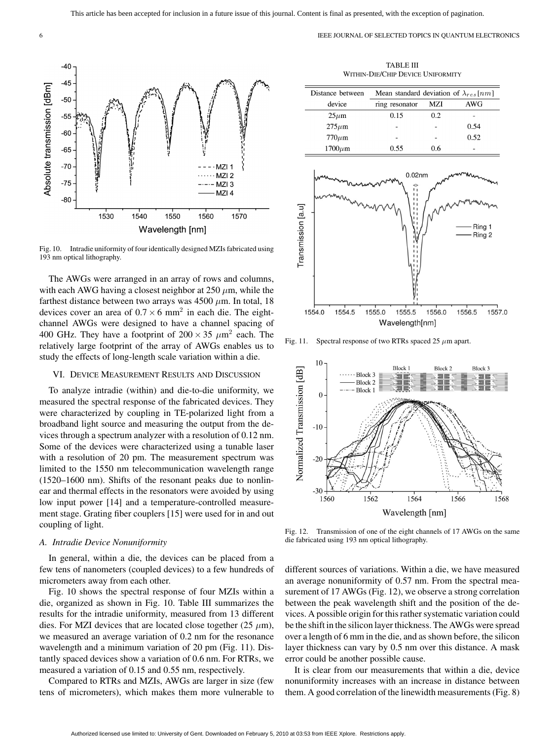

Fig. 10. Intradie uniformity of four identically designed MZIs fabricated using 193 nm optical lithography.

The AWGs were arranged in an array of rows and columns, with each AWG having a closest neighbor at 250  $\mu$ m, while the farthest distance between two arrays was 4500  $\mu$ m. In total, 18 devices cover an area of  $0.7 \times 6$  mm<sup>2</sup> in each die. The eightchannel AWGs were designed to have a channel spacing of 400 GHz. They have a footprint of  $200 \times 35 \mu m^2$  each. The relatively large footprint of the array of AWGs enables us to study the effects of long-length scale variation within a die.

## VI. DEVICE MEASUREMENT RESULTS AND DISCUSSION

To analyze intradie (within) and die-to-die uniformity, we measured the spectral response of the fabricated devices. They were characterized by coupling in TE-polarized light from a broadband light source and measuring the output from the devices through a spectrum analyzer with a resolution of 0.12 nm. Some of the devices were characterized using a tunable laser with a resolution of 20 pm. The measurement spectrum was limited to the 1550 nm telecommunication wavelength range (1520–1600 nm). Shifts of the resonant peaks due to nonlinear and thermal effects in the resonators were avoided by using low input power [14] and a temperature-controlled measurement stage. Grating fiber couplers [15] were used for in and out coupling of light.

### *A. Intradie Device Nonuniformity*

In general, within a die, the devices can be placed from a few tens of nanometers (coupled devices) to a few hundreds of micrometers away from each other.

Fig. 10 shows the spectral response of four MZIs within a die, organized as shown in Fig. 10. Table III summarizes the results for the intradie uniformity, measured from 13 different dies. For MZI devices that are located close together (25  $\mu$ m), we measured an average variation of 0.2 nm for the resonance wavelength and a minimum variation of 20 pm (Fig. 11). Distantly spaced devices show a variation of 0.6 nm. For RTRs, we measured a variation of 0.15 and 0.55 nm, respectively.

Compared to RTRs and MZIs, AWGs are larger in size (few tens of micrometers), which makes them more vulnerable to

TABLE III WITHIN-DIE/CHIP DEVICE UNIFORMITY

| Distance between | Mean standard deviation of $\lambda_{res}[nm]$ |     |      |
|------------------|------------------------------------------------|-----|------|
| device           | ring resonator                                 | MZI | AWG  |
| $25 \mu m$       | 0.15                                           | 0.2 |      |
| $275 \mu m$      |                                                |     | 0.54 |
| $770 \mu m$      |                                                |     | 0.52 |
| $1700 \mu m$     | 0.55                                           | 0.6 |      |



Fig. 11. Spectral response of two RTRs spaced 25  $\mu$ m apart.



Fig. 12. Transmission of one of the eight channels of 17 AWGs on the same die fabricated using 193 nm optical lithography.

different sources of variations. Within a die, we have measured an average nonuniformity of 0.57 nm. From the spectral measurement of 17 AWGs (Fig. 12), we observe a strong correlation between the peak wavelength shift and the position of the devices. A possible origin for this rather systematic variation could be the shift in the silicon layer thickness. The AWGs were spread over a length of 6 mm in the die, and as shown before, the silicon layer thickness can vary by 0.5 nm over this distance. A mask error could be another possible cause.

It is clear from our measurements that within a die, device nonuniformity increases with an increase in distance between them. A good correlation of the linewidth measurements (Fig. 8)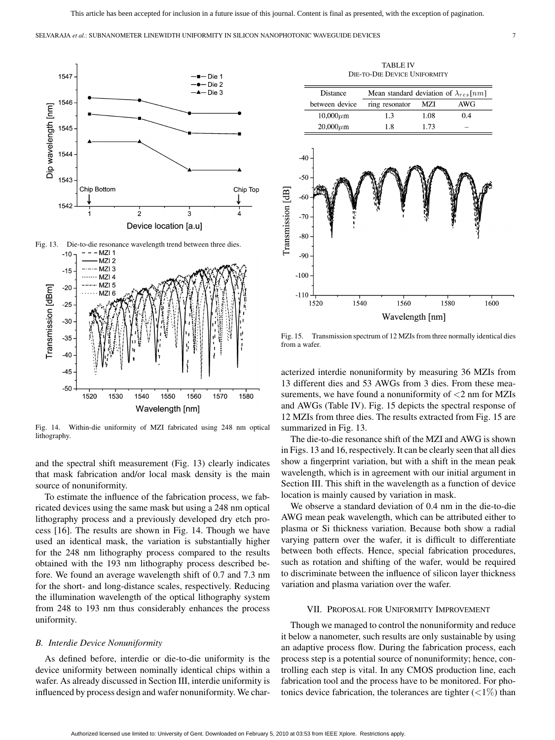





Fig. 14. Within-die uniformity of MZI fabricated using 248 nm optical lithography.

and the spectral shift measurement (Fig. 13) clearly indicates that mask fabrication and/or local mask density is the main source of nonuniformity.

To estimate the influence of the fabrication process, we fabricated devices using the same mask but using a 248 nm optical lithography process and a previously developed dry etch process [16]. The results are shown in Fig. 14. Though we have used an identical mask, the variation is substantially higher for the 248 nm lithography process compared to the results obtained with the 193 nm lithography process described before. We found an average wavelength shift of 0.7 and 7.3 nm for the short- and long-distance scales, respectively. Reducing the illumination wavelength of the optical lithography system from 248 to 193 nm thus considerably enhances the process uniformity.

#### *B. Interdie Device Nonuniformity*

As defined before, interdie or die-to-die uniformity is the device uniformity between nominally identical chips within a wafer. As already discussed in Section III, interdie uniformity is influenced by process design and wafer nonuniformity. We char-

TABLE IV DIE-TO-DIE DEVICE UNIFORMITY



Fig. 15. Transmission spectrum of 12 MZIs from three normally identical dies from a wafer.

acterized interdie nonuniformity by measuring 36 MZIs from 13 different dies and 53 AWGs from 3 dies. From these measurements, we have found a nonuniformity of  $\langle 2 \text{ nm} \rangle$  for MZIs and AWGs (Table IV). Fig. 15 depicts the spectral response of 12 MZIs from three dies. The results extracted from Fig. 15 are summarized in Fig. 13.

The die-to-die resonance shift of the MZI and AWG is shown in Figs. 13 and 16, respectively. It can be clearly seen that all dies show a fingerprint variation, but with a shift in the mean peak wavelength, which is in agreement with our initial argument in Section III. This shift in the wavelength as a function of device location is mainly caused by variation in mask.

We observe a standard deviation of 0.4 nm in the die-to-die AWG mean peak wavelength, which can be attributed either to plasma or Si thickness variation. Because both show a radial varying pattern over the wafer, it is difficult to differentiate between both effects. Hence, special fabrication procedures, such as rotation and shifting of the wafer, would be required to discriminate between the influence of silicon layer thickness variation and plasma variation over the wafer.

#### VII. PROPOSAL FOR UNIFORMITY IMPROVEMENT

Though we managed to control the nonuniformity and reduce it below a nanometer, such results are only sustainable by using an adaptive process flow. During the fabrication process, each process step is a potential source of nonuniformity; hence, controlling each step is vital. In any CMOS production line, each fabrication tool and the process have to be monitored. For photonics device fabrication, the tolerances are tighter  $\left(\langle 1\% \rangle \right)$  than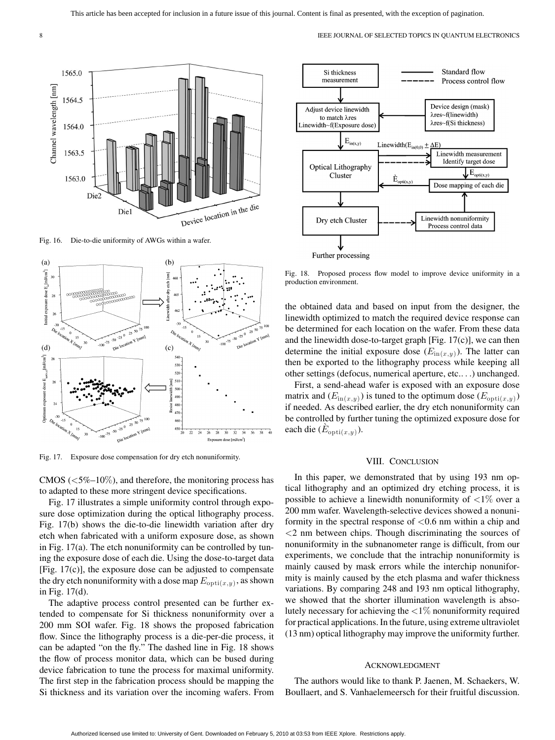

Fig. 16. Die-to-die uniformity of AWGs within a wafer.



Fig. 17. Exposure dose compensation for dry etch nonuniformity.

CMOS ( $\langle 5\% -10\%$ ), and therefore, the monitoring process has to adapted to these more stringent device specifications.

Fig. 17 illustrates a simple uniformity control through exposure dose optimization during the optical lithography process. Fig. 17(b) shows the die-to-die linewidth variation after dry etch when fabricated with a uniform exposure dose, as shown in Fig. 17(a). The etch nonuniformity can be controlled by tuning the exposure dose of each die. Using the dose-to-target data [Fig. 17(c)], the exposure dose can be adjusted to compensate the dry etch nonuniformity with a dose map  $E_{\text{opti}(x,y)}$ , as shown in Fig. 17(d).

The adaptive process control presented can be further extended to compensate for Si thickness nonuniformity over a 200 mm SOI wafer. Fig. 18 shows the proposed fabrication flow. Since the lithography process is a die-per-die process, it can be adapted "on the fly." The dashed line in Fig. 18 shows the flow of process monitor data, which can be bused during device fabrication to tune the process for maximal uniformity. The first step in the fabrication process should be mapping the Si thickness and its variation over the incoming wafers. From



Fig. 18. Proposed process flow model to improve device uniformity in a production environment.

the obtained data and based on input from the designer, the linewidth optimized to match the required device response can be determined for each location on the wafer. From these data and the linewidth dose-to-target graph [Fig. 17(c)], we can then determine the initial exposure dose  $(E_{\text{in}(x,y)})$ . The latter can then be exported to the lithography process while keeping all other settings (defocus, numerical aperture, etc....) unchanged.

First, a send-ahead wafer is exposed with an exposure dose matrix and  $(E_{\text{in}(x,y)})$  is tuned to the optimum dose  $(E_{\text{opti}(x,y)})$ if needed. As described earlier, the dry etch nonuniformity can be controlled by further tuning the optimized exposure dose for each die  $(E_{\text{opti}(x,y)})$ .

## VIII. CONCLUSION

In this paper, we demonstrated that by using 193 nm optical lithography and an optimized dry etching process, it is possible to achieve a linewidth nonuniformity of  $\langle 1 \rangle$  over a 200 mm wafer. Wavelength-selective devices showed a nonuniformity in the spectral response of  $< 0.6$  nm within a chip and <2 nm between chips. Though discriminating the sources of nonuniformity in the subnanometer range is difficult, from our experiments, we conclude that the intrachip nonuniformity is mainly caused by mask errors while the interchip nonuniformity is mainly caused by the etch plasma and wafer thickness variations. By comparing 248 and 193 nm optical lithography, we showed that the shorter illumination wavelength is absolutely necessary for achieving the  $\langle 1 \rangle$  nonuniformity required for practical applications. In the future, using extreme ultraviolet (13 nm) optical lithography may improve the uniformity further.

#### ACKNOWLEDGMENT

The authors would like to thank P. Jaenen, M. Schaekers, W. Boullaert, and S. Vanhaelemeersch for their fruitful discussion.